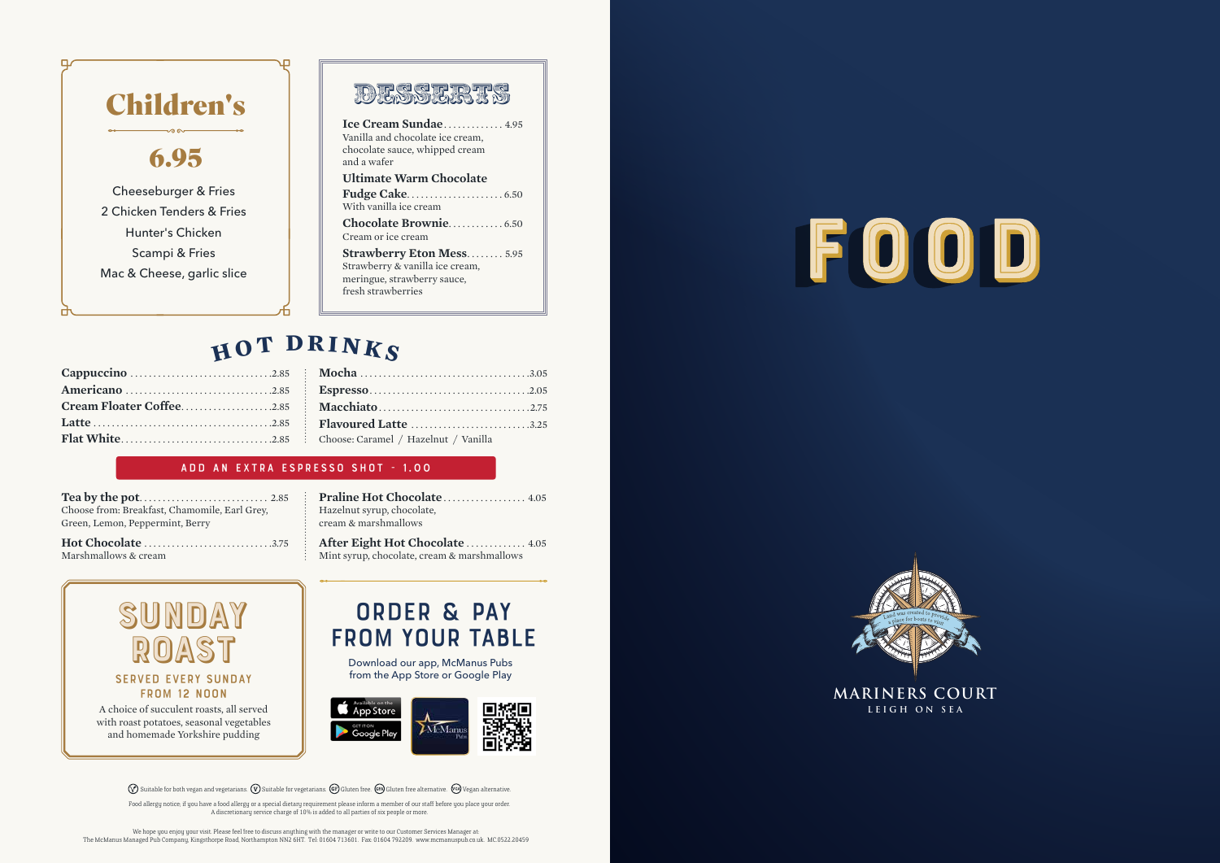A choice of succulent roasts, all served with roast potatoes, seasonal vegetables and homemade Yorkshire pudding

We hope you enjoy your visit. Please feel free to discuss anything with the manager or write to our Customer Services Manager at: The McManus Managed Pub Company, Kingsthorpe Road, Northampton NN2 6HT. Tel: 01604 713601. Fax: 01604 792209. www.mcmanuspub.co.uk. MC.0522.20459





**MARINERS COURT** 



**Praline Hot Chocolate . . . . . . . . . . . . . . . 4.05** Hazelnut syrup, chocolate, cream & marshmallows

After Eight Hot Chocolate . . . . . . . . . . . . 4.05 Mint syrup, chocolate, cream & marshmallows

|  | <b>Flavoured Latte</b> 3.25            |
|--|----------------------------------------|
|  | : Choose: Caramel / Hazelnut / Vanilla |
|  |                                        |

#### add an extra espresso shot - 1.00

**Tea by the pot** . . . . . . . . . . . . . . . . . . . . . . . . . . . . 2.85 Choose from: Breakfast, Chamomile, Earl Grey, Green, Lemon, Peppermint, Berry

**Hot Chocolate** . . . . . . . . . . . . . . . . . . . . . . . . . . . 3.75 Marshmallows & cream



## **h <sup>o</sup><sup>t</sup> <sup>d</sup><sup>r</sup> <sup>i</sup>nk<sup>s</sup>**



Food allergy notice; if you have a food allergy or a special dietary requirement please inform a member of our staff before you place your order. A discretionary service charge of 10% is added to all parties of six people or more.

### order & pay from your table

Download our app, McManus Pubs from the App Store or Google Play



**Ice Cream Sundae** . . . . . . . . . . . . . 4.95 Vanilla and chocolate ice cream, chocolate sauce, whipped cream and a wafer **Ultimate Warm Chocolate** 



**Fudge Cake** . . . . . . . . . . . . . . . . . . . . . 6.50 With vanilla ice cream **Chocolate Brownie** . . . . . . . . . . . . 6.50 Cream or ice cream

**Strawberry Eton Mess** . . . . . . . . 5.95 Strawberry & vanilla ice cream, meringue, strawberry sauce, fresh strawberries